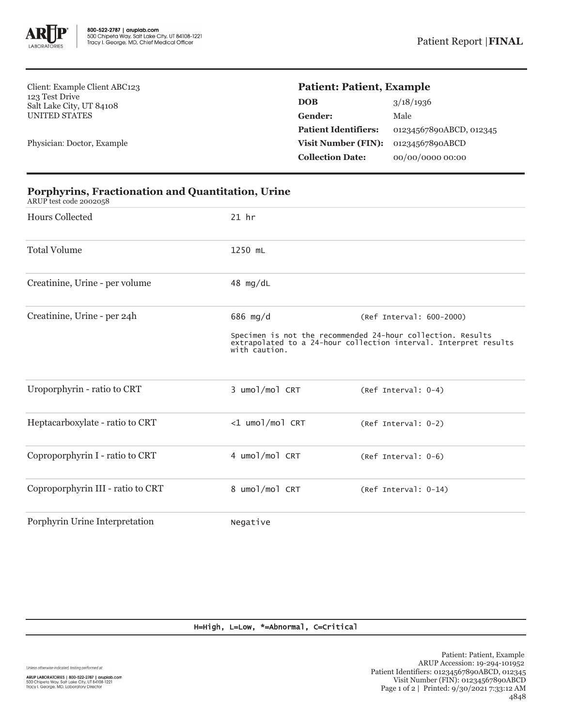

Client: Example Client ABC123 123 Test Drive Salt Lake City, UT 84108 UNITED STATES

Physician: Doctor, Example

## **Patient: Patient, Example**

| <b>DOB</b>                  | 3/18/1936               |
|-----------------------------|-------------------------|
| Gender:                     | Male                    |
| <b>Patient Identifiers:</b> | 01234567890ABCD, 012345 |
| <b>Visit Number (FIN):</b>  | 01234567890ABCD         |
| <b>Collection Date:</b>     | 00/00/0000 00:00        |

| <b>Hours Collected</b>            | $21$ hr                   |                                                                                                                                 |  |
|-----------------------------------|---------------------------|---------------------------------------------------------------------------------------------------------------------------------|--|
| <b>Total Volume</b>               | 1250 mL                   |                                                                                                                                 |  |
| Creatinine, Urine - per volume    | 48 $mg/dL$                |                                                                                                                                 |  |
| Creatinine, Urine - per 24h       | 686 mg/d                  | (Ref Interval: 600-2000)                                                                                                        |  |
|                                   | with caution.             | Specimen is not the recommended 24-hour collection. Results<br>extrapolated to a 24-hour collection interval. Interpret results |  |
| Uroporphyrin - ratio to CRT       | 3 umol/mol CRT            | (Ref Interval: 0-4)                                                                                                             |  |
| Heptacarboxylate - ratio to CRT   | $<$ 1 umo $1$ /mo $1$ CRT | (Ref Interval: 0-2)                                                                                                             |  |
| Coproporphyrin I - ratio to CRT   | 4 umol/mol CRT            | (Ref Interval: 0-6)                                                                                                             |  |
| Coproporphyrin III - ratio to CRT | 8 umol/mol CRT            | (Ref Interval: 0-14)                                                                                                            |  |
| Porphyrin Urine Interpretation    | Negative                  |                                                                                                                                 |  |

## **Porphyrins, Fractionation and Quantitation, Urine**

ARUP test code 2002058

H=High, L=Low, \*=Abnormal, C=Critical

Unless otherwise indicated, testing performed at: